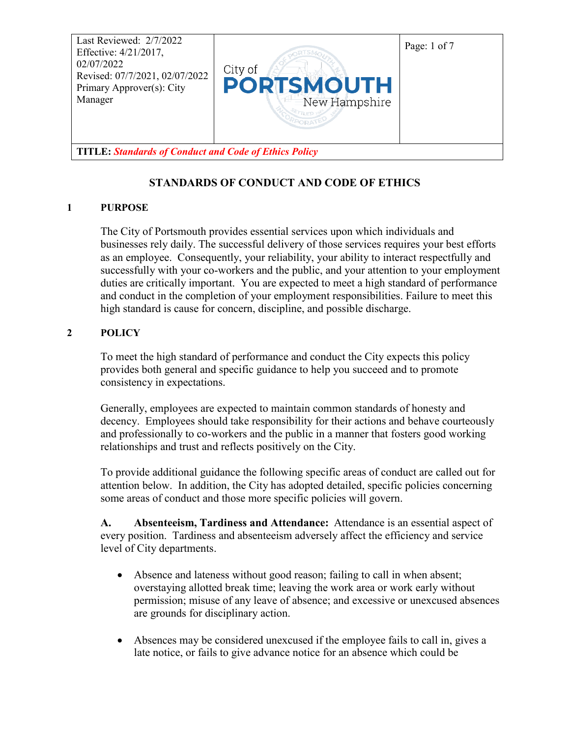

# **STANDARDS OF CONDUCT AND CODE OF ETHICS**

#### **1 PURPOSE**

The City of Portsmouth provides essential services upon which individuals and businesses rely daily. The successful delivery of those services requires your best efforts as an employee. Consequently, your reliability, your ability to interact respectfully and successfully with your co-workers and the public, and your attention to your employment duties are critically important. You are expected to meet a high standard of performance and conduct in the completion of your employment responsibilities. Failure to meet this high standard is cause for concern, discipline, and possible discharge.

#### **2 POLICY**

To meet the high standard of performance and conduct the City expects this policy provides both general and specific guidance to help you succeed and to promote consistency in expectations.

Generally, employees are expected to maintain common standards of honesty and decency. Employees should take responsibility for their actions and behave courteously and professionally to co-workers and the public in a manner that fosters good working relationships and trust and reflects positively on the City.

To provide additional guidance the following specific areas of conduct are called out for attention below. In addition, the City has adopted detailed, specific policies concerning some areas of conduct and those more specific policies will govern.

**A. Absenteeism, Tardiness and Attendance:** Attendance is an essential aspect of every position. Tardiness and absenteeism adversely affect the efficiency and service level of City departments.

- Absence and lateness without good reason; failing to call in when absent; overstaying allotted break time; leaving the work area or work early without permission; misuse of any leave of absence; and excessive or unexcused absences are grounds for disciplinary action.
- Absences may be considered unexcused if the employee fails to call in, gives a late notice, or fails to give advance notice for an absence which could be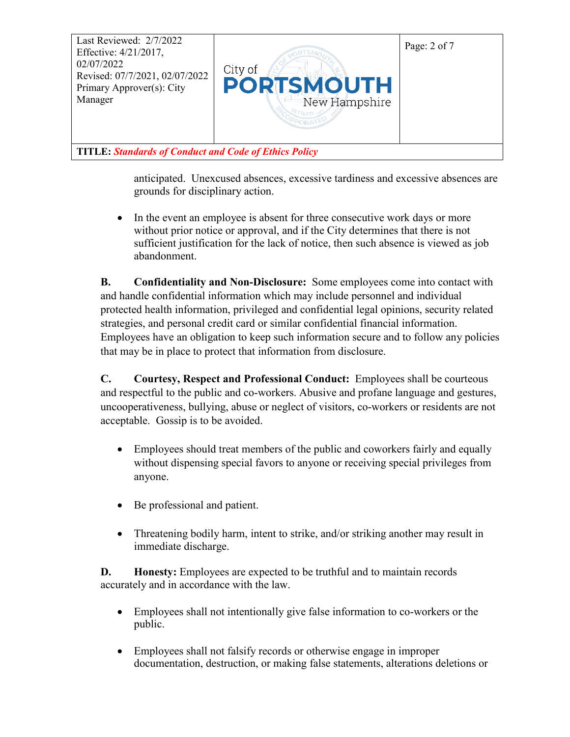

anticipated. Unexcused absences, excessive tardiness and excessive absences are grounds for disciplinary action.

• In the event an employee is absent for three consecutive work days or more without prior notice or approval, and if the City determines that there is not sufficient justification for the lack of notice, then such absence is viewed as job abandonment.

**B. Confidentiality and Non-Disclosure:** Some employees come into contact with and handle confidential information which may include personnel and individual protected health information, privileged and confidential legal opinions, security related strategies, and personal credit card or similar confidential financial information. Employees have an obligation to keep such information secure and to follow any policies that may be in place to protect that information from disclosure.

**C. Courtesy, Respect and Professional Conduct:** Employees shall be courteous and respectful to the public and co-workers. Abusive and profane language and gestures, uncooperativeness, bullying, abuse or neglect of visitors, co-workers or residents are not acceptable. Gossip is to be avoided.

- Employees should treat members of the public and coworkers fairly and equally without dispensing special favors to anyone or receiving special privileges from anyone.
- Be professional and patient.
- Threatening bodily harm, intent to strike, and/or striking another may result in immediate discharge.

**D. Honesty:** Employees are expected to be truthful and to maintain records accurately and in accordance with the law.

- Employees shall not intentionally give false information to co-workers or the public.
- Employees shall not falsify records or otherwise engage in improper documentation, destruction, or making false statements, alterations deletions or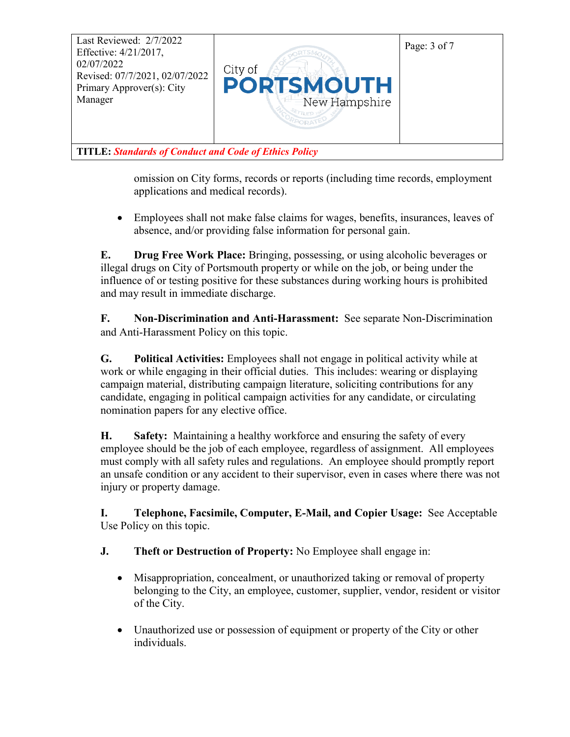

omission on City forms, records or reports (including time records, employment applications and medical records).

• Employees shall not make false claims for wages, benefits, insurances, leaves of absence, and/or providing false information for personal gain.

**E. Drug Free Work Place:** Bringing, possessing, or using alcoholic beverages or illegal drugs on City of Portsmouth property or while on the job, or being under the influence of or testing positive for these substances during working hours is prohibited and may result in immediate discharge.

**F. Non-Discrimination and Anti-Harassment:** See separate Non-Discrimination and Anti-Harassment Policy on this topic.

**G. Political Activities:** Employees shall not engage in political activity while at work or while engaging in their official duties. This includes: wearing or displaying campaign material, distributing campaign literature, soliciting contributions for any candidate, engaging in political campaign activities for any candidate, or circulating nomination papers for any elective office.

**H. Safety:** Maintaining a healthy workforce and ensuring the safety of every employee should be the job of each employee, regardless of assignment. All employees must comply with all safety rules and regulations. An employee should promptly report an unsafe condition or any accident to their supervisor, even in cases where there was not injury or property damage.

**I. Telephone, Facsimile, Computer, E-Mail, and Copier Usage:** See Acceptable Use Policy on this topic.

- **J. Theft or Destruction of Property:** No Employee shall engage in:
	- Misappropriation, concealment, or unauthorized taking or removal of property belonging to the City, an employee, customer, supplier, vendor, resident or visitor of the City.
	- Unauthorized use or possession of equipment or property of the City or other individuals.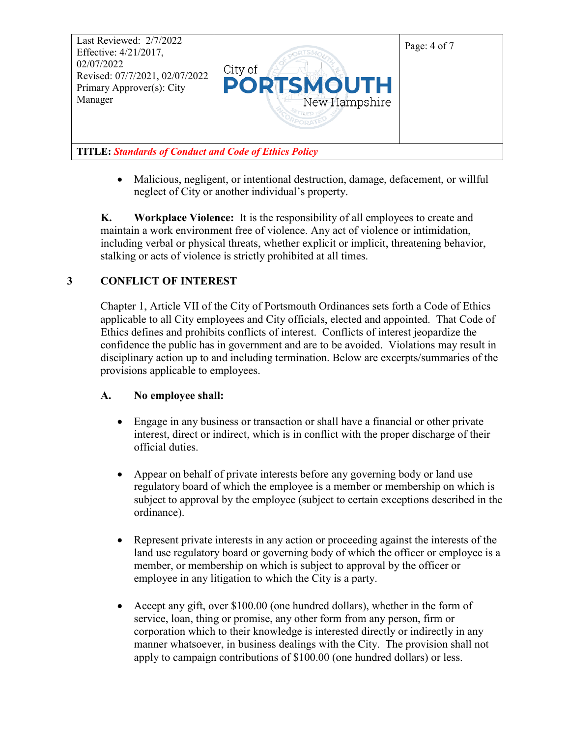

• Malicious, negligent, or intentional destruction, damage, defacement, or willful neglect of City or another individual's property.

**K. Workplace Violence:** It is the responsibility of all employees to create and maintain a work environment free of violence. Any act of violence or intimidation, including verbal or physical threats, whether explicit or implicit, threatening behavior, stalking or acts of violence is strictly prohibited at all times.

## **3 CONFLICT OF INTEREST**

Chapter 1, Article VII of the City of Portsmouth Ordinances sets forth a Code of Ethics applicable to all City employees and City officials, elected and appointed. That Code of Ethics defines and prohibits conflicts of interest. Conflicts of interest jeopardize the confidence the public has in government and are to be avoided. Violations may result in disciplinary action up to and including termination. Below are excerpts/summaries of the provisions applicable to employees.

## **A. No employee shall:**

- Engage in any business or transaction or shall have a financial or other private interest, direct or indirect, which is in conflict with the proper discharge of their official duties.
- Appear on behalf of private interests before any governing body or land use regulatory board of which the employee is a member or membership on which is subject to approval by the employee (subject to certain exceptions described in the ordinance).
- Represent private interests in any action or proceeding against the interests of the land use regulatory board or governing body of which the officer or employee is a member, or membership on which is subject to approval by the officer or employee in any litigation to which the City is a party.
- Accept any gift, over \$100.00 (one hundred dollars), whether in the form of service, loan, thing or promise, any other form from any person, firm or corporation which to their knowledge is interested directly or indirectly in any manner whatsoever, in business dealings with the City. The provision shall not apply to campaign contributions of \$100.00 (one hundred dollars) or less.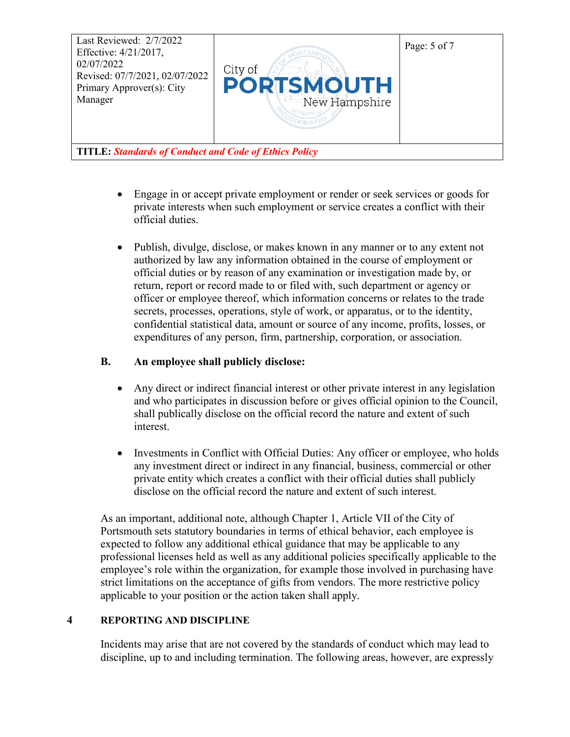

- Engage in or accept private employment or render or seek services or goods for private interests when such employment or service creates a conflict with their official duties.
- Publish, divulge, disclose, or makes known in any manner or to any extent not authorized by law any information obtained in the course of employment or official duties or by reason of any examination or investigation made by, or return, report or record made to or filed with, such department or agency or officer or employee thereof, which information concerns or relates to the trade secrets, processes, operations, style of work, or apparatus, or to the identity, confidential statistical data, amount or source of any income, profits, losses, or expenditures of any person, firm, partnership, corporation, or association.

#### **B. An employee shall publicly disclose:**

- Any direct or indirect financial interest or other private interest in any legislation and who participates in discussion before or gives official opinion to the Council, shall publically disclose on the official record the nature and extent of such interest.
- Investments in Conflict with Official Duties: Any officer or employee, who holds any investment direct or indirect in any financial, business, commercial or other private entity which creates a conflict with their official duties shall publicly disclose on the official record the nature and extent of such interest.

As an important, additional note, although Chapter 1, Article VII of the City of Portsmouth sets statutory boundaries in terms of ethical behavior, each employee is expected to follow any additional ethical guidance that may be applicable to any professional licenses held as well as any additional policies specifically applicable to the employee's role within the organization, for example those involved in purchasing have strict limitations on the acceptance of gifts from vendors. The more restrictive policy applicable to your position or the action taken shall apply.

#### **4 REPORTING AND DISCIPLINE**

Incidents may arise that are not covered by the standards of conduct which may lead to discipline, up to and including termination. The following areas, however, are expressly